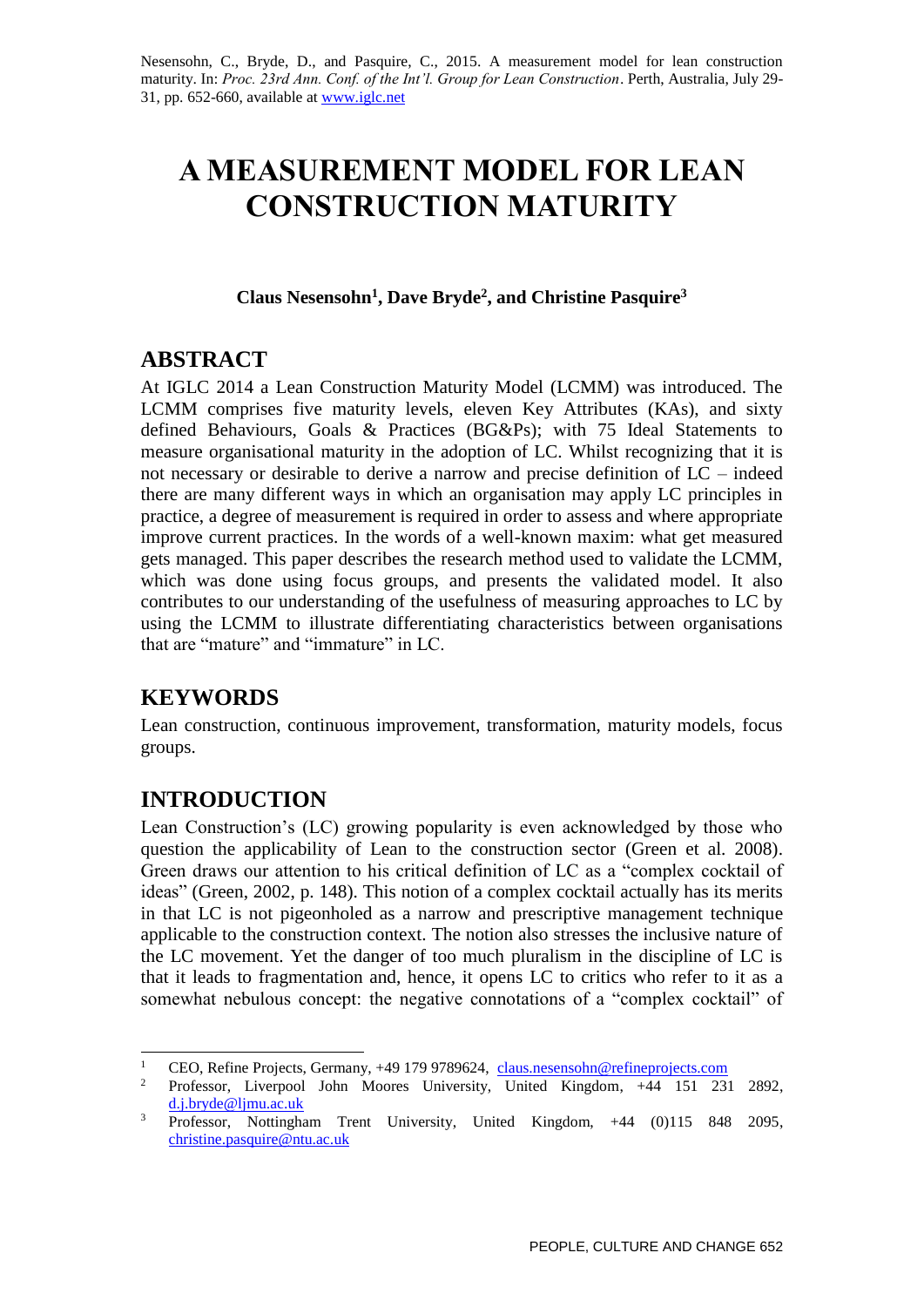# **A MEASUREMENT MODEL FOR LEAN CONSTRUCTION MATURITY**

**Claus Nesensohn<sup>1</sup> , Dave Bryde<sup>2</sup> , and Christine Pasquire<sup>3</sup>**

## **ABSTRACT**

At IGLC 2014 a Lean Construction Maturity Model (LCMM) was introduced. The LCMM comprises five maturity levels, eleven Key Attributes (KAs), and sixty defined Behaviours, Goals & Practices (BG&Ps); with 75 Ideal Statements to measure organisational maturity in the adoption of LC. Whilst recognizing that it is not necessary or desirable to derive a narrow and precise definition of LC – indeed there are many different ways in which an organisation may apply LC principles in practice, a degree of measurement is required in order to assess and where appropriate improve current practices. In the words of a well-known maxim: what get measured gets managed. This paper describes the research method used to validate the LCMM, which was done using focus groups, and presents the validated model. It also contributes to our understanding of the usefulness of measuring approaches to LC by using the LCMM to illustrate differentiating characteristics between organisations that are "mature" and "immature" in LC.

# **KEYWORDS**

Lean construction, continuous improvement, transformation, maturity models, focus groups.

# **INTRODUCTION**

Lean Construction's (LC) growing popularity is even acknowledged by those who question the applicability of Lean to the construction sector (Green et al. 2008). Green draws our attention to his critical definition of LC as a "complex cocktail of ideas" (Green, 2002, p. 148). This notion of a complex cocktail actually has its merits in that LC is not pigeonholed as a narrow and prescriptive management technique applicable to the construction context. The notion also stresses the inclusive nature of the LC movement. Yet the danger of too much pluralism in the discipline of LC is that it leads to fragmentation and, hence, it opens LC to critics who refer to it as a somewhat nebulous concept: the negative connotations of a "complex cocktail" of

 $\mathbf{1}$ <sup>1</sup> CEO, Refine Projects, Germany, +49 179 9789624, claus.nesensohn@refineprojects.com<br><sup>2</sup> Professor Liverpool John Moores University. United Kingdom. +44 151 23

<sup>2</sup> Professor, Liverpool John Moores University, United Kingdom, +44 151 231 2892, d.j.bryde@ljmu.ac.uk

<sup>&</sup>lt;sup>3</sup> Professor, Nottingham Trent University, United Kingdom, +44 (0)115 848 2095, [christine.pasquire@ntu.ac.uk](mailto:christine.pasquire@ntu.ac.uk)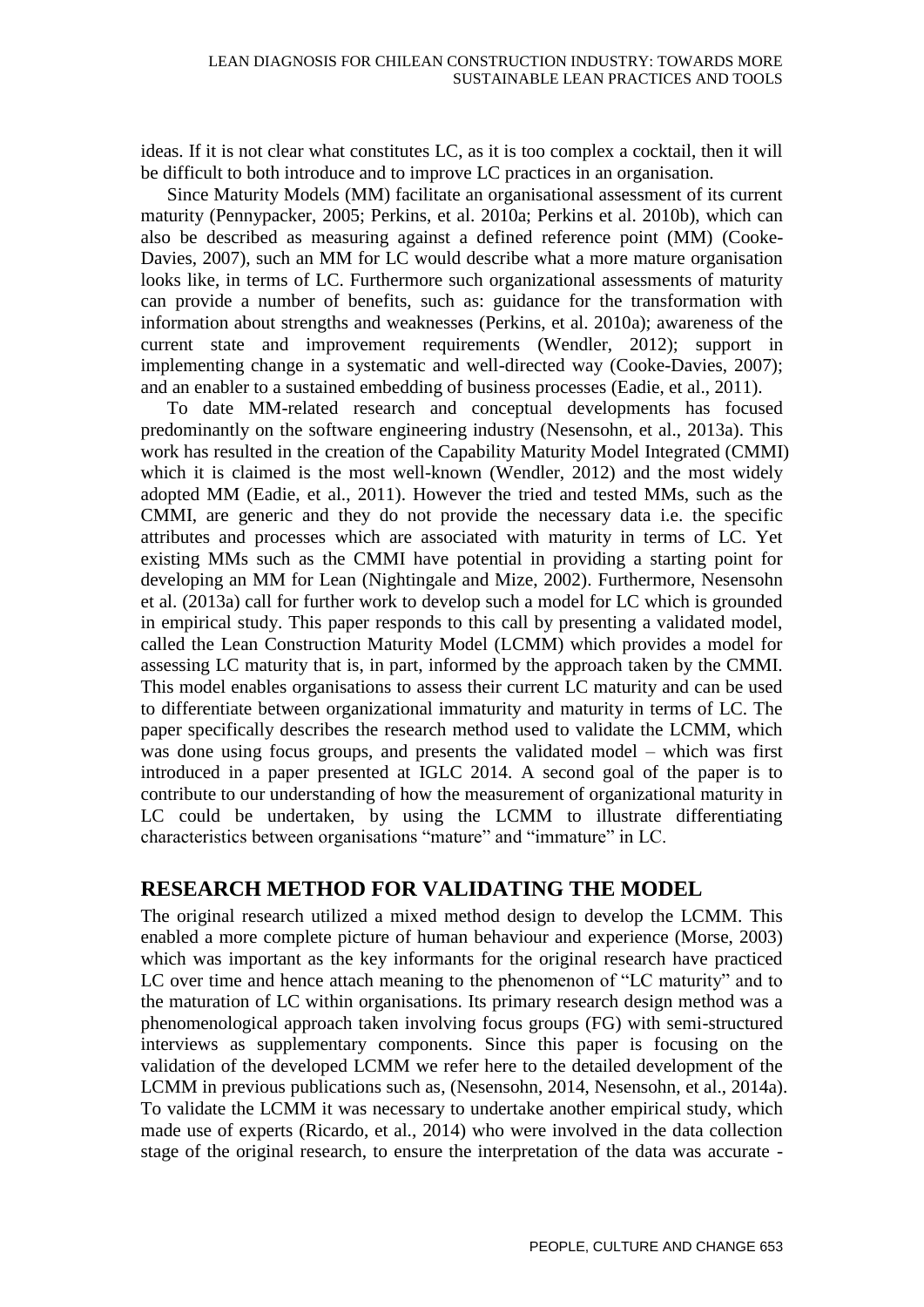ideas. If it is not clear what constitutes LC, as it is too complex a cocktail, then it will be difficult to both introduce and to improve LC practices in an organisation.

Since Maturity Models (MM) facilitate an organisational assessment of its current maturity (Pennypacker, 2005; Perkins, et al. 2010a; Perkins et al. 2010b), which can also be described as measuring against a defined reference point (MM) (Cooke-Davies, 2007), such an MM for LC would describe what a more mature organisation looks like, in terms of LC. Furthermore such organizational assessments of maturity can provide a number of benefits, such as: guidance for the transformation with information about strengths and weaknesses (Perkins, et al. 2010a); awareness of the current state and improvement requirements (Wendler, 2012); support in implementing change in a systematic and well-directed way (Cooke-Davies, 2007); and an enabler to a sustained embedding of business processes (Eadie, et al., 2011).

To date MM-related research and conceptual developments has focused predominantly on the software engineering industry (Nesensohn, et al., 2013a). This work has resulted in the creation of the Capability Maturity Model Integrated (CMMI) which it is claimed is the most well-known (Wendler, 2012) and the most widely adopted MM (Eadie, et al., 2011). However the tried and tested MMs, such as the CMMI, are generic and they do not provide the necessary data i.e. the specific attributes and processes which are associated with maturity in terms of LC. Yet existing MMs such as the CMMI have potential in providing a starting point for developing an MM for Lean (Nightingale and Mize, 2002). Furthermore, Nesensohn et al. (2013a) call for further work to develop such a model for LC which is grounded in empirical study. This paper responds to this call by presenting a validated model, called the Lean Construction Maturity Model (LCMM) which provides a model for assessing LC maturity that is, in part, informed by the approach taken by the CMMI. This model enables organisations to assess their current LC maturity and can be used to differentiate between organizational immaturity and maturity in terms of LC. The paper specifically describes the research method used to validate the LCMM, which was done using focus groups, and presents the validated model – which was first introduced in a paper presented at IGLC 2014. A second goal of the paper is to contribute to our understanding of how the measurement of organizational maturity in LC could be undertaken, by using the LCMM to illustrate differentiating characteristics between organisations "mature" and "immature" in LC.

#### **RESEARCH METHOD FOR VALIDATING THE MODEL**

The original research utilized a mixed method design to develop the LCMM. This enabled a more complete picture of human behaviour and experience (Morse, 2003) which was important as the key informants for the original research have practiced LC over time and hence attach meaning to the phenomenon of "LC maturity" and to the maturation of LC within organisations. Its primary research design method was a phenomenological approach taken involving focus groups (FG) with semi-structured interviews as supplementary components. Since this paper is focusing on the validation of the developed LCMM we refer here to the detailed development of the LCMM in previous publications such as, (Nesensohn, 2014, Nesensohn, et al., 2014a). To validate the LCMM it was necessary to undertake another empirical study, which made use of experts (Ricardo, et al., 2014) who were involved in the data collection stage of the original research, to ensure the interpretation of the data was accurate -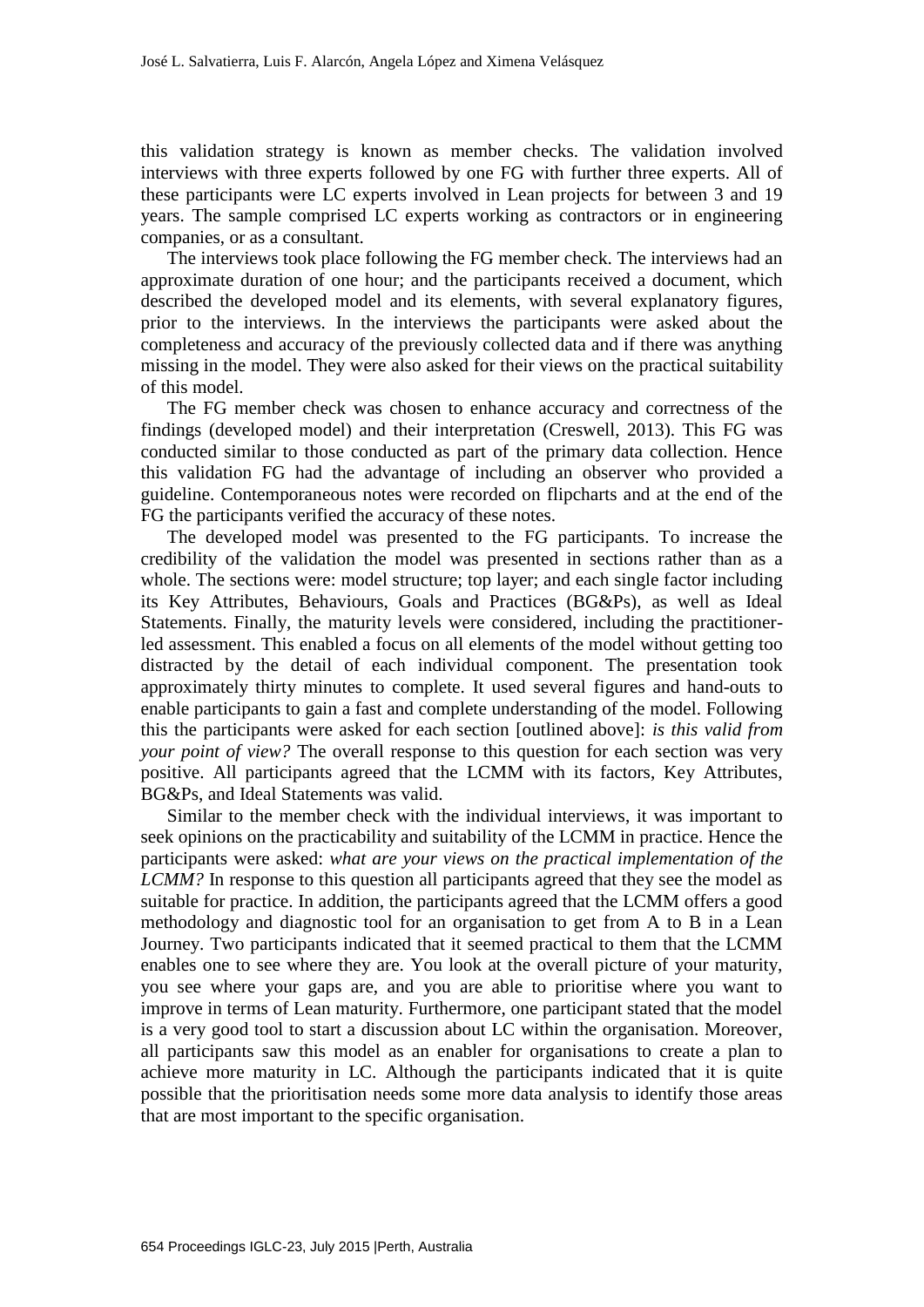this validation strategy is known as member checks. The validation involved interviews with three experts followed by one FG with further three experts. All of these participants were LC experts involved in Lean projects for between 3 and 19 years. The sample comprised LC experts working as contractors or in engineering companies, or as a consultant.

The interviews took place following the FG member check. The interviews had an approximate duration of one hour; and the participants received a document, which described the developed model and its elements, with several explanatory figures, prior to the interviews. In the interviews the participants were asked about the completeness and accuracy of the previously collected data and if there was anything missing in the model. They were also asked for their views on the practical suitability of this model.

The FG member check was chosen to enhance accuracy and correctness of the findings (developed model) and their interpretation (Creswell, 2013). This FG was conducted similar to those conducted as part of the primary data collection. Hence this validation FG had the advantage of including an observer who provided a guideline. Contemporaneous notes were recorded on flipcharts and at the end of the FG the participants verified the accuracy of these notes.

The developed model was presented to the FG participants. To increase the credibility of the validation the model was presented in sections rather than as a whole. The sections were: model structure; top layer; and each single factor including its Key Attributes, Behaviours, Goals and Practices (BG&Ps), as well as Ideal Statements. Finally, the maturity levels were considered, including the practitionerled assessment. This enabled a focus on all elements of the model without getting too distracted by the detail of each individual component. The presentation took approximately thirty minutes to complete. It used several figures and hand-outs to enable participants to gain a fast and complete understanding of the model. Following this the participants were asked for each section [outlined above]: *is this valid from your point of view?* The overall response to this question for each section was very positive. All participants agreed that the LCMM with its factors, Key Attributes, BG&Ps, and Ideal Statements was valid.

Similar to the member check with the individual interviews, it was important to seek opinions on the practicability and suitability of the LCMM in practice. Hence the participants were asked: *what are your views on the practical implementation of the LCMM?* In response to this question all participants agreed that they see the model as suitable for practice. In addition, the participants agreed that the LCMM offers a good methodology and diagnostic tool for an organisation to get from A to B in a Lean Journey. Two participants indicated that it seemed practical to them that the LCMM enables one to see where they are. You look at the overall picture of your maturity, you see where your gaps are, and you are able to prioritise where you want to improve in terms of Lean maturity. Furthermore, one participant stated that the model is a very good tool to start a discussion about LC within the organisation. Moreover, all participants saw this model as an enabler for organisations to create a plan to achieve more maturity in LC. Although the participants indicated that it is quite possible that the prioritisation needs some more data analysis to identify those areas that are most important to the specific organisation.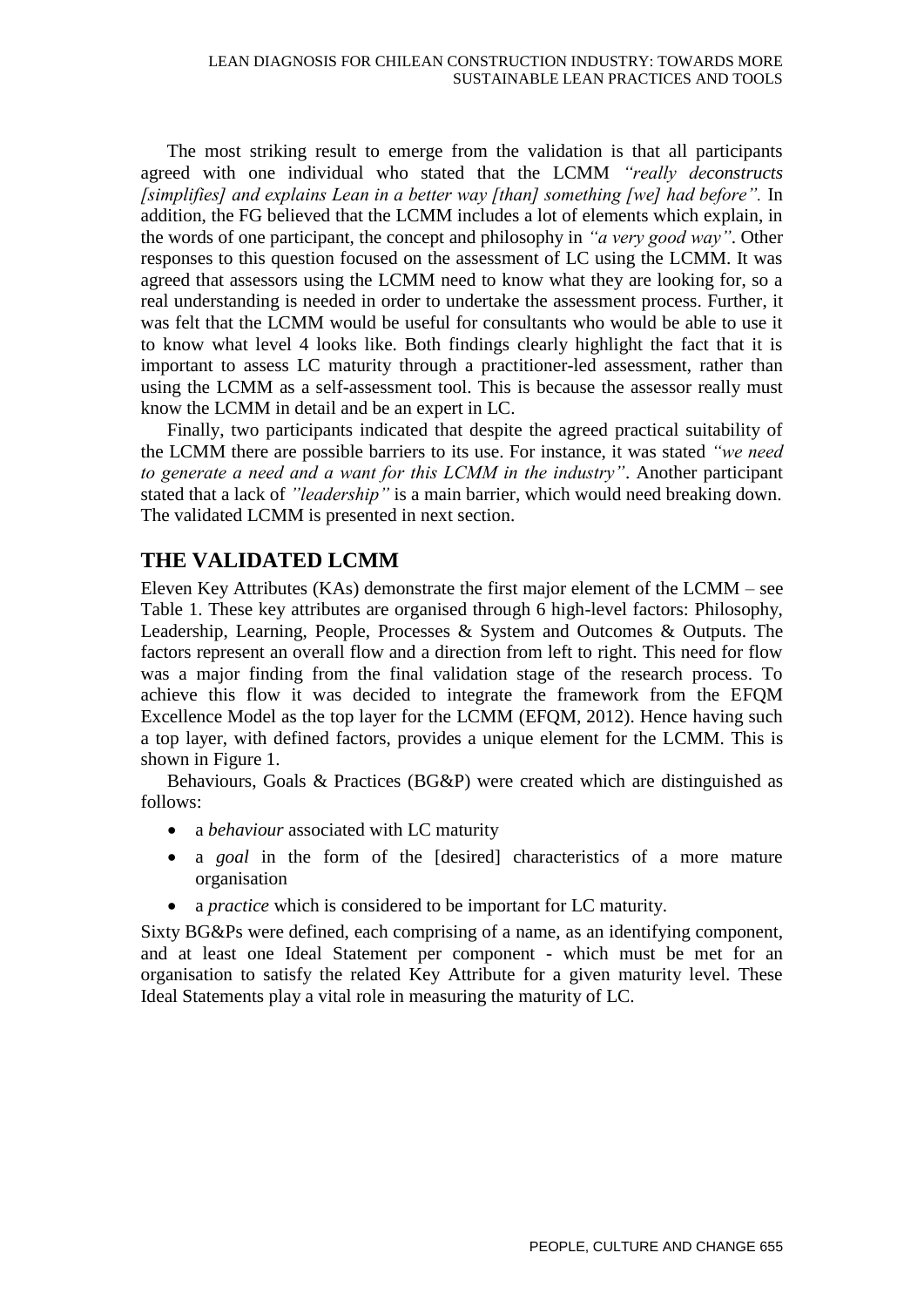The most striking result to emerge from the validation is that all participants agreed with one individual who stated that the LCMM *"really deconstructs [simplifies] and explains Lean in a better way [than] something [we] had before".* In addition, the FG believed that the LCMM includes a lot of elements which explain, in the words of one participant, the concept and philosophy in *"a very good way"*. Other responses to this question focused on the assessment of LC using the LCMM. It was agreed that assessors using the LCMM need to know what they are looking for, so a real understanding is needed in order to undertake the assessment process. Further, it was felt that the LCMM would be useful for consultants who would be able to use it to know what level 4 looks like. Both findings clearly highlight the fact that it is important to assess LC maturity through a practitioner-led assessment, rather than using the LCMM as a self-assessment tool. This is because the assessor really must know the LCMM in detail and be an expert in LC.

Finally, two participants indicated that despite the agreed practical suitability of the LCMM there are possible barriers to its use. For instance, it was stated *"we need to generate a need and a want for this LCMM in the industry"*. Another participant stated that a lack of *"leadership"* is a main barrier, which would need breaking down. The validated LCMM is presented in next section.

### **THE VALIDATED LCMM**

Eleven Key Attributes (KAs) demonstrate the first major element of the LCMM – see Table 1. These key attributes are organised through 6 high-level factors: Philosophy, Leadership, Learning, People, Processes & System and Outcomes & Outputs. The factors represent an overall flow and a direction from left to right. This need for flow was a major finding from the final validation stage of the research process. To achieve this flow it was decided to integrate the framework from the EFQM Excellence Model as the top layer for the LCMM (EFQM, 2012). Hence having such a top layer, with defined factors, provides a unique element for the LCMM. This is shown in Figure 1.

Behaviours, Goals & Practices (BG&P) were created which are distinguished as follows:

- a *behaviour* associated with LC maturity
- a *goal* in the form of the [desired] characteristics of a more mature organisation
- a *practice* which is considered to be important for LC maturity.

Sixty BG&Ps were defined, each comprising of a name, as an identifying component, and at least one Ideal Statement per component - which must be met for an organisation to satisfy the related Key Attribute for a given maturity level. These Ideal Statements play a vital role in measuring the maturity of LC.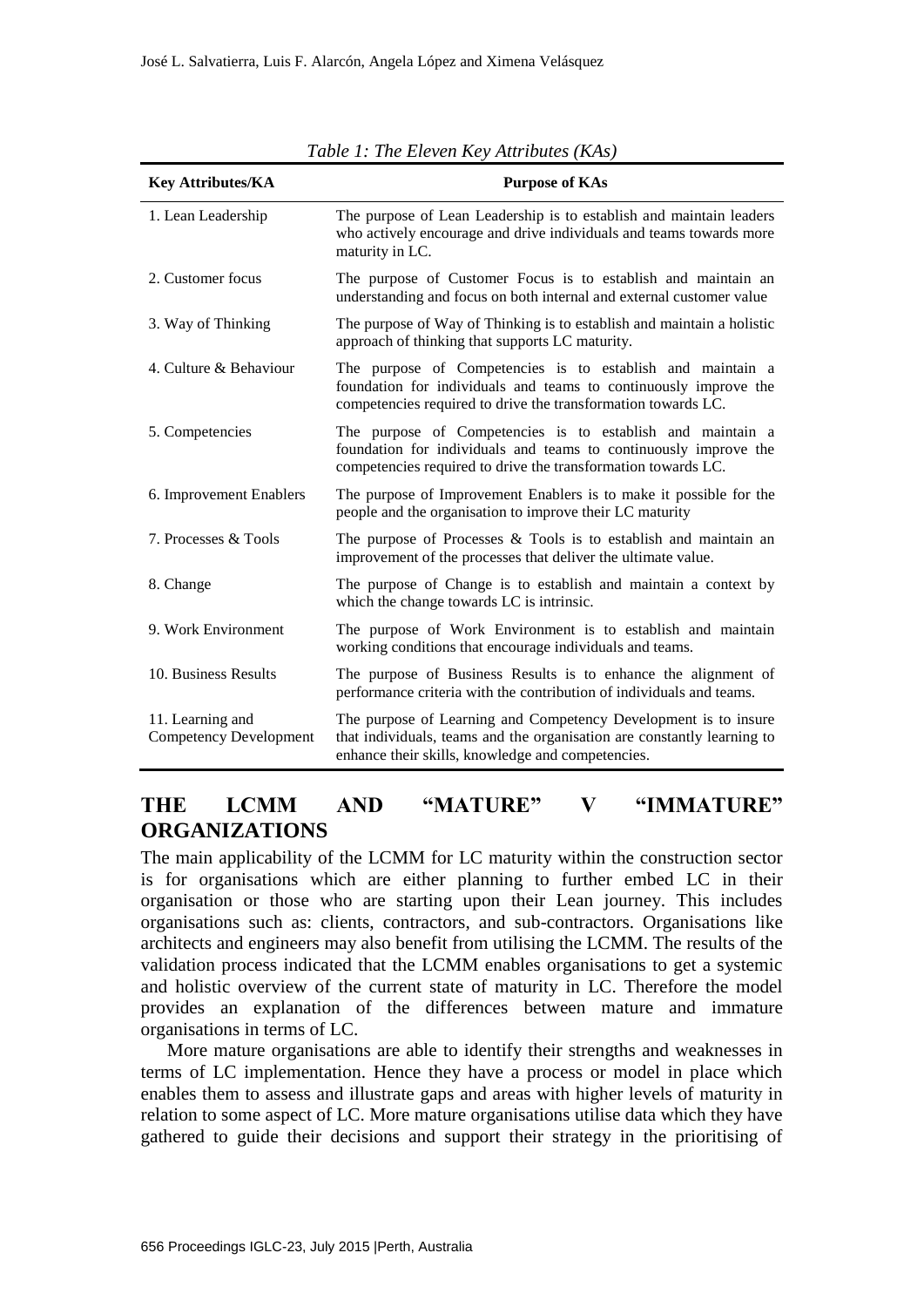| <b>Key Attributes/KA</b>                          | <b>Purpose of KAs</b>                                                                                                                                                                           |
|---------------------------------------------------|-------------------------------------------------------------------------------------------------------------------------------------------------------------------------------------------------|
| 1. Lean Leadership                                | The purpose of Lean Leadership is to establish and maintain leaders<br>who actively encourage and drive individuals and teams towards more<br>maturity in LC.                                   |
| 2. Customer focus                                 | The purpose of Customer Focus is to establish and maintain an<br>understanding and focus on both internal and external customer value                                                           |
| 3. Way of Thinking                                | The purpose of Way of Thinking is to establish and maintain a holistic<br>approach of thinking that supports LC maturity.                                                                       |
| 4. Culture & Behaviour                            | The purpose of Competencies is to establish and maintain a<br>foundation for individuals and teams to continuously improve the<br>competencies required to drive the transformation towards LC. |
| 5. Competencies                                   | The purpose of Competencies is to establish and maintain a<br>foundation for individuals and teams to continuously improve the<br>competencies required to drive the transformation towards LC. |
| 6. Improvement Enablers                           | The purpose of Improvement Enablers is to make it possible for the<br>people and the organisation to improve their LC maturity                                                                  |
| 7. Processes & Tools                              | The purpose of Processes $&$ Tools is to establish and maintain an<br>improvement of the processes that deliver the ultimate value.                                                             |
| 8. Change                                         | The purpose of Change is to establish and maintain a context by<br>which the change towards LC is intrinsic.                                                                                    |
| 9. Work Environment                               | The purpose of Work Environment is to establish and maintain<br>working conditions that encourage individuals and teams.                                                                        |
| 10. Business Results                              | The purpose of Business Results is to enhance the alignment of<br>performance criteria with the contribution of individuals and teams.                                                          |
| 11. Learning and<br><b>Competency Development</b> | The purpose of Learning and Competency Development is to insure<br>that individuals, teams and the organisation are constantly learning to<br>enhance their skills, knowledge and competencies. |

*Table 1: The Eleven Key Attributes (KAs)* 

#### **THE LCMM AND "MATURE" V "IMMATURE" ORGANIZATIONS**

The main applicability of the LCMM for LC maturity within the construction sector is for organisations which are either planning to further embed LC in their organisation or those who are starting upon their Lean journey. This includes organisations such as: clients, contractors, and sub-contractors. Organisations like architects and engineers may also benefit from utilising the LCMM. The results of the validation process indicated that the LCMM enables organisations to get a systemic and holistic overview of the current state of maturity in LC. Therefore the model provides an explanation of the differences between mature and immature organisations in terms of LC.

More mature organisations are able to identify their strengths and weaknesses in terms of LC implementation. Hence they have a process or model in place which enables them to assess and illustrate gaps and areas with higher levels of maturity in relation to some aspect of LC. More mature organisations utilise data which they have gathered to guide their decisions and support their strategy in the prioritising of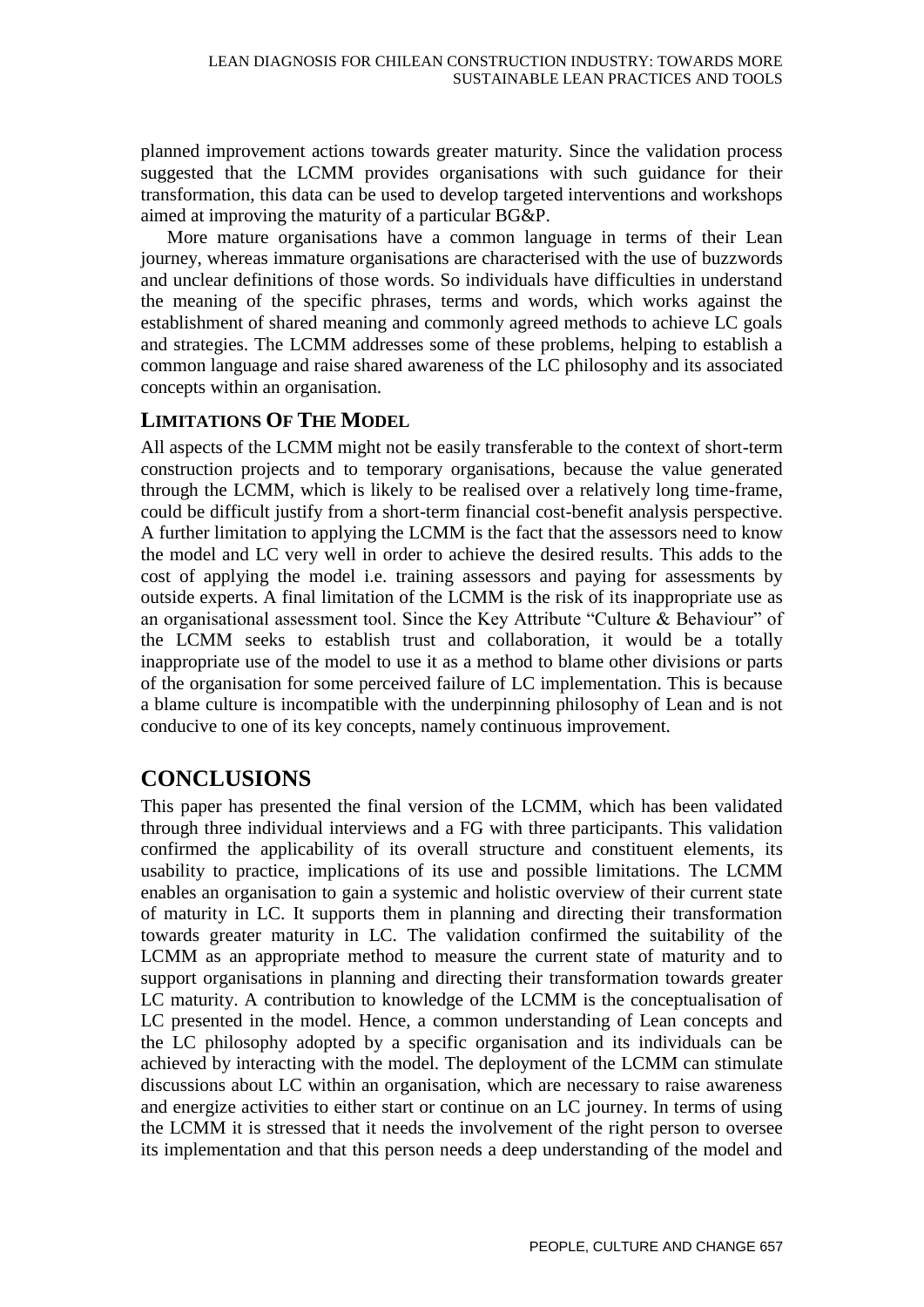planned improvement actions towards greater maturity. Since the validation process suggested that the LCMM provides organisations with such guidance for their transformation, this data can be used to develop targeted interventions and workshops aimed at improving the maturity of a particular BG&P.

More mature organisations have a common language in terms of their Lean journey, whereas immature organisations are characterised with the use of buzzwords and unclear definitions of those words. So individuals have difficulties in understand the meaning of the specific phrases, terms and words, which works against the establishment of shared meaning and commonly agreed methods to achieve LC goals and strategies. The LCMM addresses some of these problems, helping to establish a common language and raise shared awareness of the LC philosophy and its associated concepts within an organisation.

#### **LIMITATIONS OF THE MODEL**

All aspects of the LCMM might not be easily transferable to the context of short-term construction projects and to temporary organisations, because the value generated through the LCMM, which is likely to be realised over a relatively long time-frame, could be difficult justify from a short-term financial cost-benefit analysis perspective. A further limitation to applying the LCMM is the fact that the assessors need to know the model and LC very well in order to achieve the desired results. This adds to the cost of applying the model i.e. training assessors and paying for assessments by outside experts. A final limitation of the LCMM is the risk of its inappropriate use as an organisational assessment tool. Since the Key Attribute "Culture & Behaviour" of the LCMM seeks to establish trust and collaboration, it would be a totally inappropriate use of the model to use it as a method to blame other divisions or parts of the organisation for some perceived failure of LC implementation. This is because a blame culture is incompatible with the underpinning philosophy of Lean and is not conducive to one of its key concepts, namely continuous improvement.

## **CONCLUSIONS**

This paper has presented the final version of the LCMM, which has been validated through three individual interviews and a FG with three participants. This validation confirmed the applicability of its overall structure and constituent elements, its usability to practice, implications of its use and possible limitations. The LCMM enables an organisation to gain a systemic and holistic overview of their current state of maturity in LC. It supports them in planning and directing their transformation towards greater maturity in LC. The validation confirmed the suitability of the LCMM as an appropriate method to measure the current state of maturity and to support organisations in planning and directing their transformation towards greater LC maturity. A contribution to knowledge of the LCMM is the conceptualisation of LC presented in the model. Hence, a common understanding of Lean concepts and the LC philosophy adopted by a specific organisation and its individuals can be achieved by interacting with the model. The deployment of the LCMM can stimulate discussions about LC within an organisation, which are necessary to raise awareness and energize activities to either start or continue on an LC journey. In terms of using the LCMM it is stressed that it needs the involvement of the right person to oversee its implementation and that this person needs a deep understanding of the model and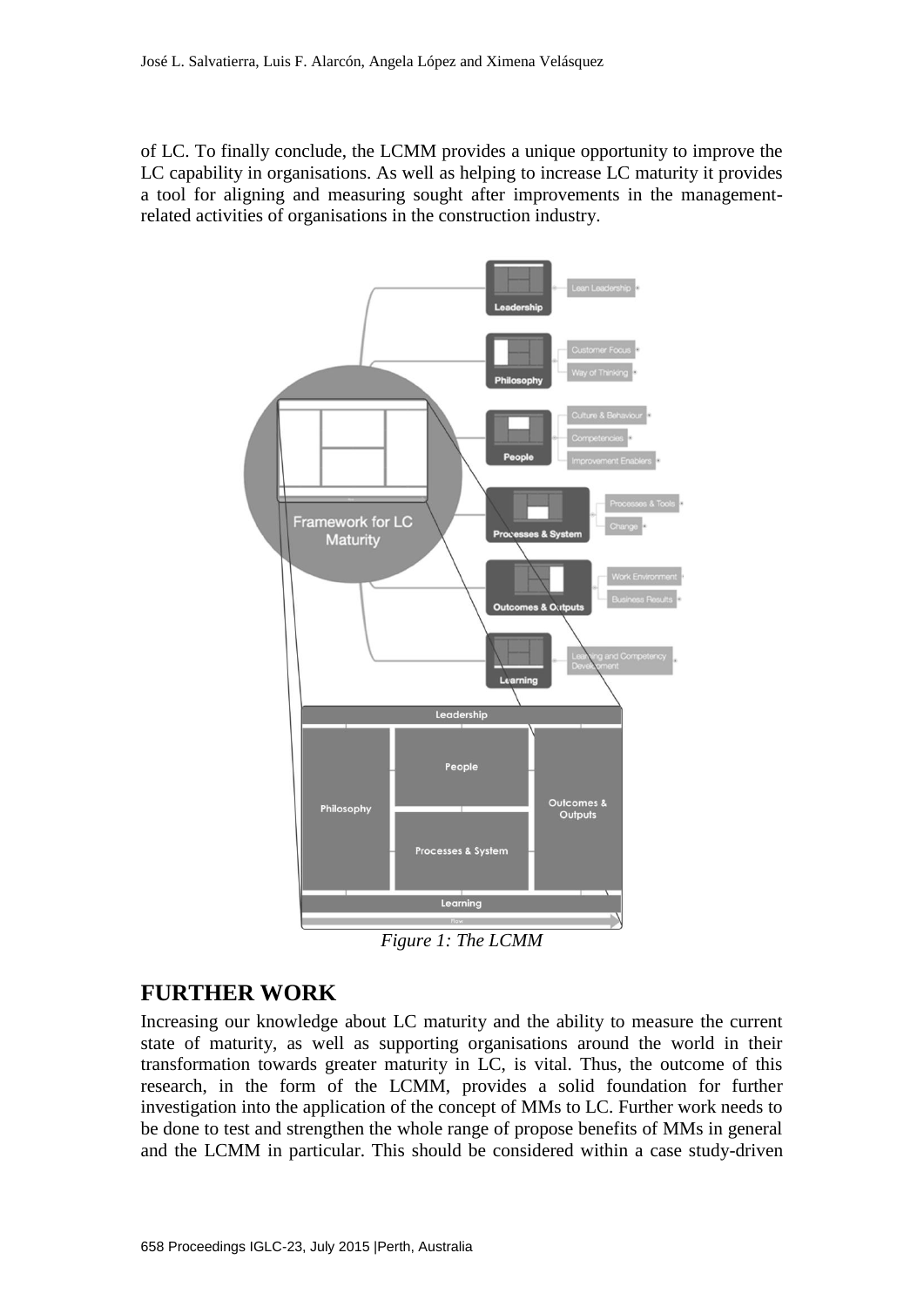of LC. To finally conclude, the LCMM provides a unique opportunity to improve the LC capability in organisations. As well as helping to increase LC maturity it provides a tool for aligning and measuring sought after improvements in the managementrelated activities of organisations in the construction industry.



*Figure 1: The LCMM*

#### **FURTHER WORK**

Increasing our knowledge about LC maturity and the ability to measure the current state of maturity, as well as supporting organisations around the world in their transformation towards greater maturity in LC, is vital. Thus, the outcome of this research, in the form of the LCMM, provides a solid foundation for further investigation into the application of the concept of MMs to LC. Further work needs to be done to test and strengthen the whole range of propose benefits of MMs in general and the LCMM in particular. This should be considered within a case study-driven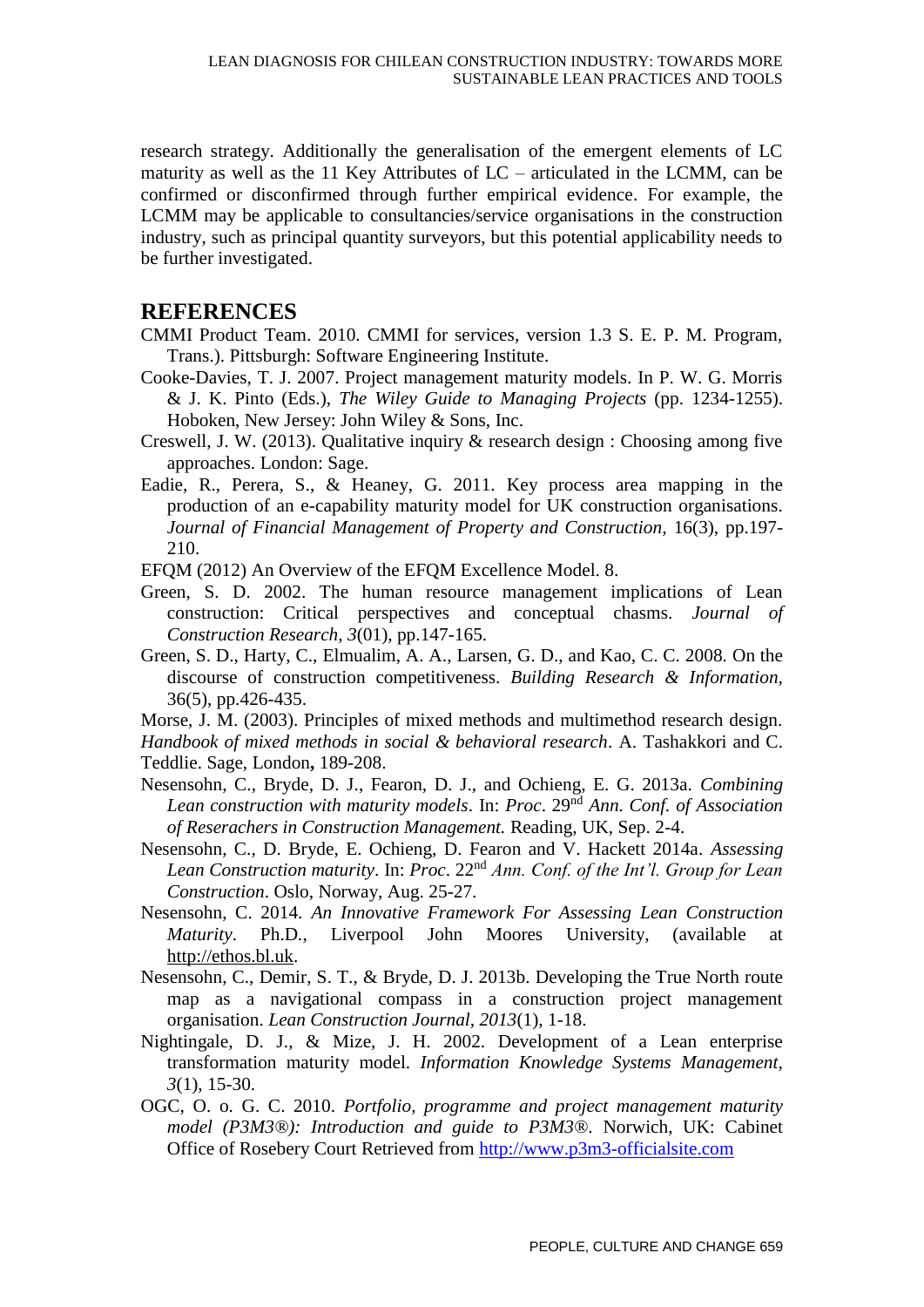research strategy. Additionally the generalisation of the emergent elements of LC maturity as well as the 11 Key Attributes of LC – articulated in the LCMM, can be confirmed or disconfirmed through further empirical evidence. For example, the LCMM may be applicable to consultancies/service organisations in the construction industry, such as principal quantity surveyors, but this potential applicability needs to be further investigated.

#### **REFERENCES**

- CMMI Product Team. 2010. CMMI for services, version 1.3 S. E. P. M. Program, Trans.). Pittsburgh: Software Engineering Institute.
- Cooke-Davies, T. J. 2007. Project management maturity models. In P. W. G. Morris & J. K. Pinto (Eds.), *The Wiley Guide to Managing Projects* (pp. 1234-1255). Hoboken, New Jersey: John Wiley & Sons, Inc.
- Creswell, J. W. (2013). Qualitative inquiry & research design : Choosing among five approaches. London: Sage.
- Eadie, R., Perera, S., & Heaney, G. 2011. Key process area mapping in the production of an e-capability maturity model for UK construction organisations. *Journal of Financial Management of Property and Construction,* 16(3), pp.197- 210.
- EFQM (2012) An Overview of the EFQM Excellence Model. 8.
- Green, S. D. 2002. The human resource management implications of Lean construction: Critical perspectives and conceptual chasms. *Journal of Construction Research, 3*(01), pp.147-165.
- Green, S. D., Harty, C., Elmualim, A. A., Larsen, G. D., and Kao, C. C. 2008. On the discourse of construction competitiveness. *Building Research & Information,*  36(5), pp.426-435.

Morse, J. M. (2003). Principles of mixed methods and multimethod research design. *Handbook of mixed methods in social & behavioral research*. A. Tashakkori and C. Teddlie. Sage, London**,** 189-208.

- Nesensohn, C., Bryde, D. J., Fearon, D. J., and Ochieng, E. G. 2013a. *Combining Lean construction with maturity models*. In: *Proc*. 29nd *Ann. Conf. of Association of Reserachers in Construction Management.* Reading, UK, Sep. 2-4.
- Nesensohn, C., D. Bryde, E. Ochieng, D. Fearon and V. Hackett 2014a. *Assessing Lean Construction maturity*. In: *Proc*. 22nd *Ann. Conf. of the Int'l. Group for Lean Construction*. Oslo, Norway, Aug. 25-27.
- Nesensohn, C. 2014. *An Innovative Framework For Assessing Lean Construction Maturity*. Ph.D*.*, Liverpool John Moores University, (available at [http://ethos.bl.uk.](http://ethos.bl.uk/OrderDetails.do?uin=uk.bl.ethos.602630)
- Nesensohn, C., Demir, S. T., & Bryde, D. J. 2013b. Developing the True North route map as a navigational compass in a construction project management organisation. *Lean Construction Journal, 2013*(1), 1-18.
- Nightingale, D. J., & Mize, J. H. 2002. Development of a Lean enterprise transformation maturity model. *Information Knowledge Systems Management, 3*(1), 15-30.
- OGC, O. o. G. C. 2010. *Portfolio, programme and project management maturity model (P3M3®): Introduction and guide to P3M3®*. Norwich, UK: Cabinet Office of Rosebery Court Retrieved from [http://www.p3m3-officialsite.com](http://www.p3m3-officialsite.com/P3M3Model/Model_mhtry.aspx)